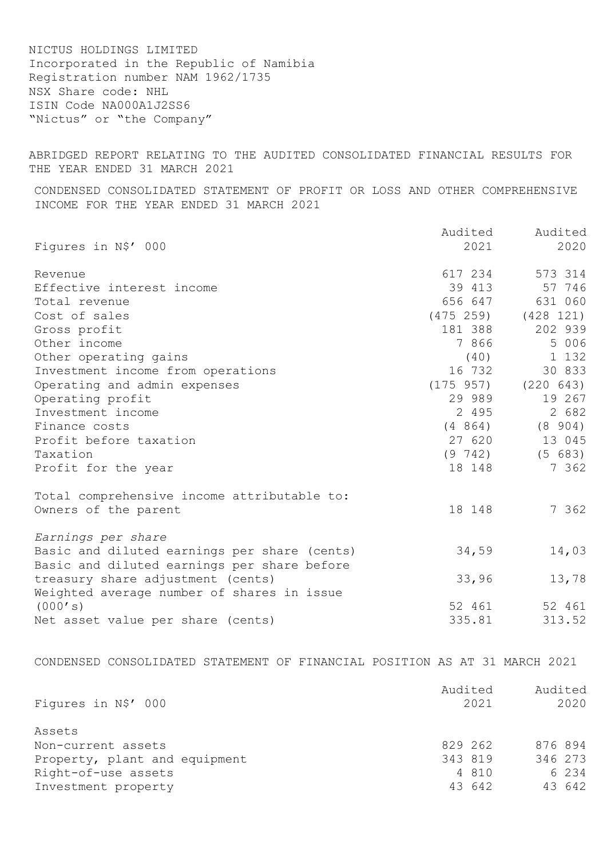NICTUS HOLDINGS LIMITED Incorporated in the Republic of Namibia Registration number NAM 1962/1735 NSX Share code: NHL ISIN Code NA000A1J2SS6 "Nictus" or "the Company"

ABRIDGED REPORT RELATING TO THE AUDITED CONSOLIDATED FINANCIAL RESULTS FOR THE YEAR ENDED 31 MARCH 2021

CONDENSED CONSOLIDATED STATEMENT OF PROFIT OR LOSS AND OTHER COMPREHENSIVE INCOME FOR THE YEAR ENDED 31 MARCH 2021

|                                              | Audited   | Audited   |
|----------------------------------------------|-----------|-----------|
| Figures in N\$' 000                          | 2021      | 2020      |
| Revenue                                      | 617 234   | 573 314   |
| Effective interest income                    | 39 413    | 57 746    |
| Total revenue                                | 656 647   | 631 060   |
| Cost of sales                                | (475 259) | (428 121) |
| Gross profit                                 | 181 388   | 202 939   |
| Other income                                 | 7 866     | 5 006     |
| Other operating gains                        | (40)      | 1 132     |
| Investment income from operations            | 16 732    | 30 833    |
| Operating and admin expenses                 | (175957)  | (220 643) |
| Operating profit                             | 29 989    | 19 267    |
| Investment income                            | 2 4 9 5   | 2 682     |
| Finance costs                                | (4864)    | (8904)    |
| Profit before taxation                       | 27 620    | 13 045    |
| Taxation                                     | (9742)    | (5 683)   |
| Profit for the year                          | 18 148    | 7 362     |
| Total comprehensive income attributable to:  |           |           |
| Owners of the parent                         | 18 148    | 7 362     |
| Earnings per share                           |           |           |
| Basic and diluted earnings per share (cents) | 34,59     | 14,03     |
| Basic and diluted earnings per share before  |           |           |
| treasury share adjustment (cents)            | 33,96     | 13,78     |
| Weighted average number of shares in issue   |           |           |
| (000's)                                      | 52 461    | 52 461    |
| Net asset value per share (cents)            | 335.81    | 313.52    |
|                                              |           |           |

CONDENSED CONSOLIDATED STATEMENT OF FINANCIAL POSITION AS AT 31 MARCH 2021

| Figures in N\$' 000           | Audited<br>2021 | Audited<br>2020 |  |
|-------------------------------|-----------------|-----------------|--|
| Assets                        |                 |                 |  |
| Non-current assets            | 829 262         | 876 894         |  |
| Property, plant and equipment | 343 819         | 346 273         |  |
| Right-of-use assets           | 4 810           | 6 2 3 4         |  |
| Investment property           | 43 642          | 43 642          |  |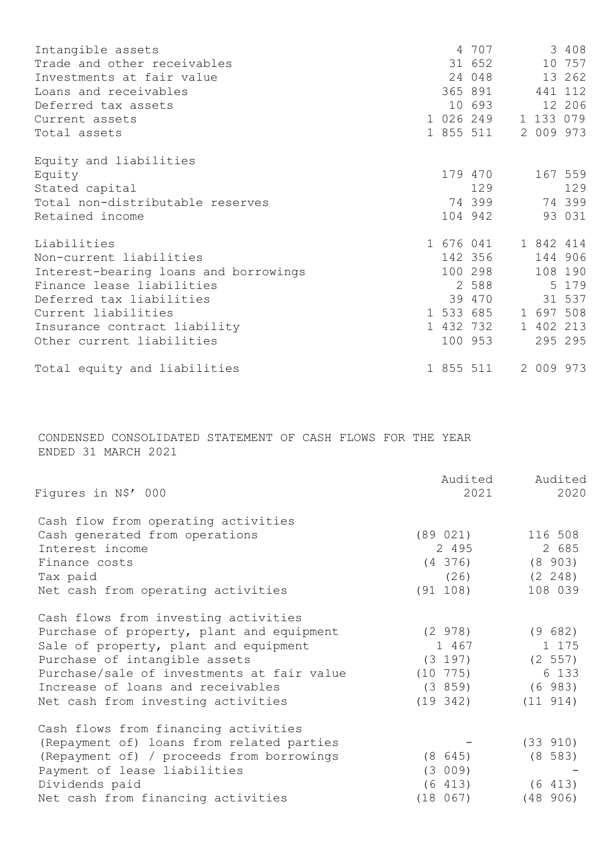| Intangible assets                     |  | 4 707     |           | 3 408   |
|---------------------------------------|--|-----------|-----------|---------|
| Trade and other receivables           |  | 31 652    |           | 10 757  |
| Investments at fair value             |  | 24 048    |           | 13 262  |
| Loans and receivables                 |  | 365 891   |           | 441 112 |
| Deferred tax assets                   |  | 10 693    |           | 12 206  |
| Current assets                        |  | 1 026 249 | 1 133 079 |         |
| Total assets                          |  | 1 855 511 | 2 009 973 |         |
| Equity and liabilities                |  |           |           |         |
| Equity                                |  | 179 470   |           | 167 559 |
| Stated capital                        |  | 129       |           | 129     |
| Total non-distributable reserves      |  | 74399     |           | 74 399  |
| Retained income                       |  | 104 942   |           | 93 031  |
| Liabilities                           |  | 1 676 041 | 1 842 414 |         |
| Non-current liabilities               |  | 142 356   |           | 144 906 |
| Interest-bearing loans and borrowings |  | 100 298   |           | 108 190 |
| Finance lease liabilities             |  | 2 588     |           | 5 179   |
| Deferred tax liabilities              |  | 39 470    |           | 31 537  |
| Current liabilities                   |  | 1 533 685 | 1 697 508 |         |
| Insurance contract liability          |  | 1 432 732 | 1 402 213 |         |
| Other current liabilities             |  | 100 953   |           | 295 295 |
| Total equity and liabilities          |  | 1 855 511 | 2 009 973 |         |

CONDENSED CONSOLIDATED STATEMENT OF CASH FLOWS FOR THE YEAR ENDED 31 MARCH 2021

|                                            | Audited     | Audited     |
|--------------------------------------------|-------------|-------------|
| Figures in N\$' 000                        | 2021        | 2020        |
| Cash flow from operating activities        |             |             |
| Cash generated from operations             | (89 021)    | 116 508     |
| Interest income                            | 2 4 9 5     | 2 685       |
| Finance costs                              | $(4\;376)$  | $(8\ 903)$  |
| Tax paid                                   | (26)        | $(2 \t248)$ |
| Net cash from operating activities         | (91 108)    | 108 039     |
| Cash flows from investing activities       |             |             |
| Purchase of property, plant and equipment  | (2978)      | (9 682)     |
| Sale of property, plant and equipment      | 1 467       | 1 175       |
| Purchase of intangible assets              | (3 197)     | (2 557)     |
| Purchase/sale of investments at fair value | $(10\ 775)$ | 6 133       |
| Increase of loans and receivables          | (3859)      | (6983)      |
| Net cash from investing activities         | (19 342)    | (11 914)    |
| Cash flows from financing activities       |             |             |
| (Repayment of) loans from related parties  |             | (33 910)    |
| (Repayment of) / proceeds from borrowings  | (8645)      | $(8\;583)$  |
| Payment of lease liabilities               | (3 009)     |             |
| Dividends paid                             | (6 413)     | (6 413)     |
| Net cash from financing activities         | (18 067)    | (48906)     |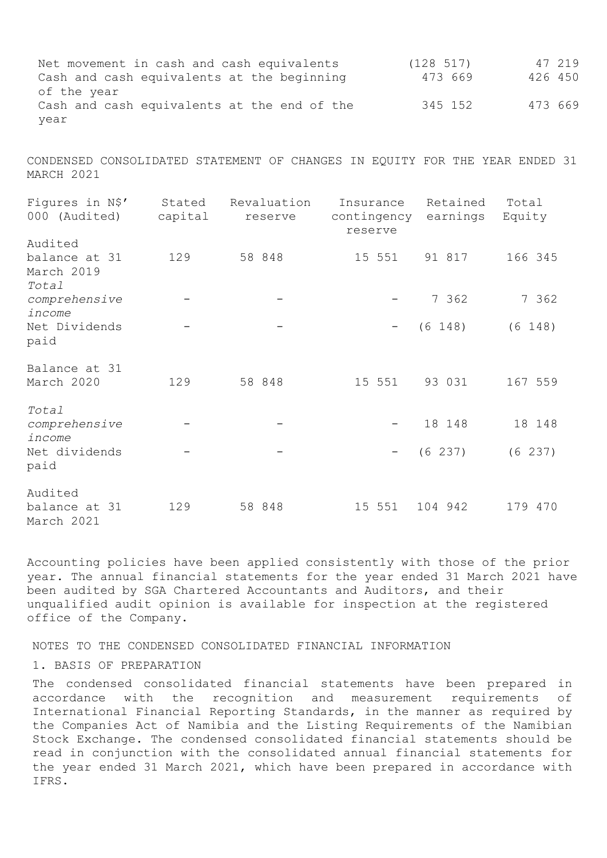Net movement in cash and cash equivalents (128 517) 47 219 Cash and cash equivalents at the beginning of the year 473 669 426 450 Cash and cash equivalents at the end of the 345 152 473 669 year

CONDENSED CONSOLIDATED STATEMENT OF CHANGES IN EQUITY FOR THE YEAR ENDED 31 MARCH 2021

| Figures in N\$'<br>000 (Audited)       | Stated<br>capital | Revaluation<br>reserve | Insurance<br>contingency<br>reserve | Retained<br>earnings | Total<br>Equity |
|----------------------------------------|-------------------|------------------------|-------------------------------------|----------------------|-----------------|
| Audited<br>balance at 31<br>March 2019 | 129               | 58 848                 | 15 551                              | 91 817               | 166 345         |
| Total<br>comprehensive<br>income       |                   |                        |                                     | 7 362                | 7 362           |
| Net Dividends<br>paid                  |                   |                        | $\hspace{0.1mm}-\hspace{0.1mm}$     | (6 148)              | (6 148)         |
| Balance at 31<br>March 2020            | 129               | 58 848                 | 15 551                              | 93 031               | 167 559         |
| Total<br>comprehensive<br>income       |                   |                        |                                     | 18 148               | 18 148          |
| Net dividends<br>paid                  |                   |                        | $\overline{\phantom{m}}$            | (6 237)              | (6 237)         |
| Audited<br>balance at 31<br>March 2021 | 129               | 58 848                 | 15 551                              | 104 942              | 179 470         |

Accounting policies have been applied consistently with those of the prior year. The annual financial statements for the year ended 31 March 2021 have been audited by SGA Chartered Accountants and Auditors, and their unqualified audit opinion is available for inspection at the registered office of the Company.

NOTES TO THE CONDENSED CONSOLIDATED FINANCIAL INFORMATION

1. BASIS OF PREPARATION

The condensed consolidated financial statements have been prepared in accordance with the recognition and measurement requirements of International Financial Reporting Standards, in the manner as required by the Companies Act of Namibia and the Listing Requirements of the Namibian Stock Exchange. The condensed consolidated financial statements should be read in conjunction with the consolidated annual financial statements for the year ended 31 March 2021, which have been prepared in accordance with IFRS.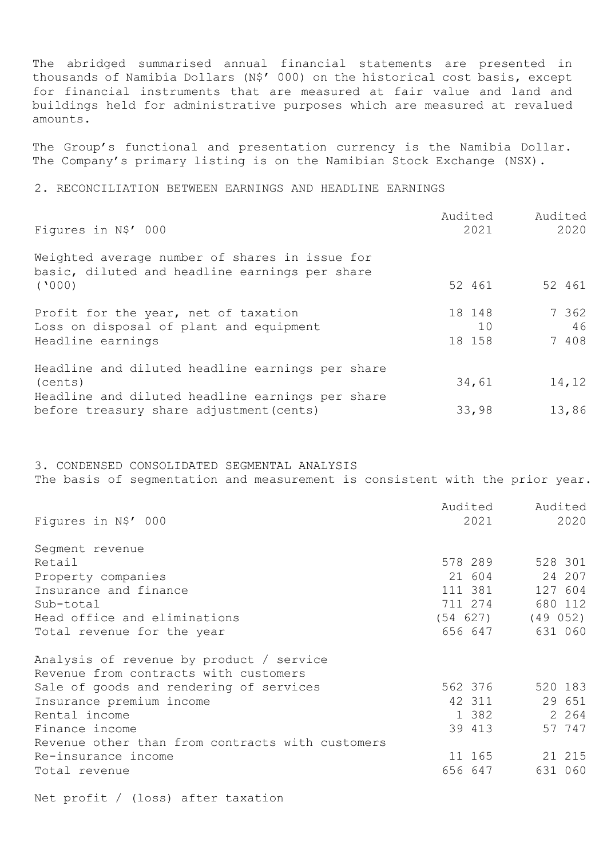The abridged summarised annual financial statements are presented in thousands of Namibia Dollars (N\$' 000) on the historical cost basis, except for financial instruments that are measured at fair value and land and buildings held for administrative purposes which are measured at revalued amounts.

The Group's functional and presentation currency is the Namibia Dollar. The Company's primary listing is on the Namibian Stock Exchange (NSX).

2. RECONCILIATION BETWEEN EARNINGS AND HEADLINE EARNINGS

| Figures in N\$' 000                                                                                        | Audited | 2021         | Audited | 2020        |
|------------------------------------------------------------------------------------------------------------|---------|--------------|---------|-------------|
| Weighted average number of shares in issue for<br>basic, diluted and headline earnings per share<br>(1000) |         | 52 461       |         | 52 461      |
| Profit for the year, net of taxation                                                                       |         | 18 148       |         | 7 362       |
| Loss on disposal of plant and equipment<br>Headline earnings                                               |         | 10<br>18 158 |         | 46<br>7 408 |
| Headline and diluted headline earnings per share<br>(cents)                                                |         | 34,61        |         | 14,12       |
| Headline and diluted headline earnings per share<br>before treasury share adjustment (cents)               |         | 33,98        |         | 13,86       |

3. CONDENSED CONSOLIDATED SEGMENTAL ANALYSIS The basis of segmentation and measurement is consistent with the prior year.

|                                                  | Audited | Audited               |
|--------------------------------------------------|---------|-----------------------|
| Figures in N\$' 000                              | 2021    | 2020                  |
| Segment revenue                                  |         |                       |
| Retail                                           | 578 289 | 528 301               |
| Property companies                               | 21 604  | 24 207                |
| Insurance and finance                            | 111 381 | 127 604               |
| Sub-total                                        | 711 274 | 680 112               |
| Head office and eliminations                     |         | $(54 627)$ $(49 052)$ |
| Total revenue for the year                       | 656 647 | 631 060               |
| Analysis of revenue by product / service         |         |                       |
| Revenue from contracts with customers            |         |                       |
| Sale of goods and rendering of services          | 562 376 | 520 183               |
| Insurance premium income                         | 42 311  | 29 651                |
| Rental income                                    | 1 382   | 2 2 6 4               |
| Finance income                                   | 39 413  | 57 747                |
| Revenue other than from contracts with customers |         |                       |
| Re-insurance income                              | 11 165  | 21 215                |
| Total revenue                                    | 656 647 | 631 060               |
|                                                  |         |                       |

Net profit / (loss) after taxation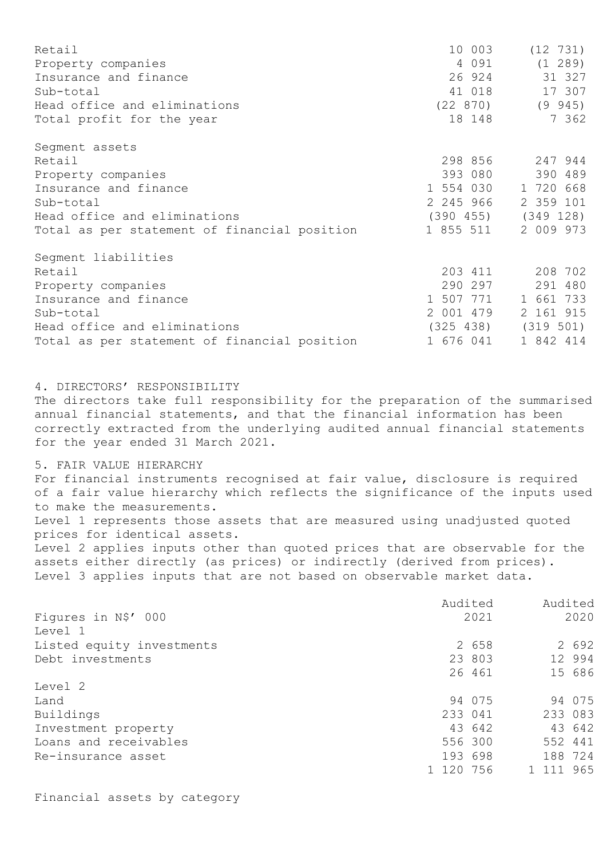| Retail                                       | 10 003    | (12 731)                |
|----------------------------------------------|-----------|-------------------------|
| Property companies                           | 4 0 9 1   | (1 289)                 |
| Insurance and finance                        | 26 924    | 31 327                  |
| Sub-total                                    | 41 018    | 17 307                  |
| Head office and eliminations                 | (22870)   | $(9\ 945)$              |
| Total profit for the year                    | 18 148    | 7 362                   |
| Segment assets                               |           |                         |
| Retail                                       | 298 856   | 247 944                 |
| Property companies                           | 393 080   | 390 489                 |
| Insurance and finance                        | 1 554 030 | 1 720 668               |
| Sub-total                                    | 2 245 966 | 2 359 101               |
| Head office and eliminations                 |           | $(390 455)$ $(349 128)$ |
| Total as per statement of financial position | 1 855 511 | 2 009 973               |
| Segment liabilities                          |           |                         |
| Retail                                       | 203 411   | 208 702                 |
| Property companies                           | 290 297   | 291 480                 |
| Insurance and finance                        | 1 507 771 | 1 661 733               |
| Sub-total                                    | 2 001 479 | 2 161 915               |
| Head office and eliminations                 | (325 438) | (319 501)               |
| Total as per statement of financial position | 1 676 041 | 1 842 414               |

4. DIRECTORS' RESPONSIBILITY

The directors take full responsibility for the preparation of the summarised annual financial statements, and that the financial information has been correctly extracted from the underlying audited annual financial statements for the year ended 31 March 2021.

5. FAIR VALUE HIERARCHY

For financial instruments recognised at fair value, disclosure is required of a fair value hierarchy which reflects the significance of the inputs used to make the measurements. Level 1 represents those assets that are measured using unadjusted quoted prices for identical assets. Level 2 applies inputs other than quoted prices that are observable for the assets either directly (as prices) or indirectly (derived from prices). Level 3 applies inputs that are not based on observable market data.

|                           | Audited   |        | Audited   |        |
|---------------------------|-----------|--------|-----------|--------|
| Figures in N\$' 000       |           | 2021   |           | 2020   |
| Level 1                   |           |        |           |        |
| Listed equity investments |           | 2 658  |           | 2 692  |
| Debt investments          |           | 23 803 |           | 12 994 |
|                           |           | 26 461 |           | 15 686 |
| Level 2                   |           |        |           |        |
| Land                      |           | 94 075 |           | 94 075 |
| Buildings                 | 233 041   |        | 233 083   |        |
| Investment property       |           | 43 642 |           | 43 642 |
| Loans and receivables     | 556 300   |        | 552 441   |        |
| Re-insurance asset        | 193 698   |        | 188 724   |        |
|                           | 1 120 756 |        | 1 111 965 |        |

Financial assets by category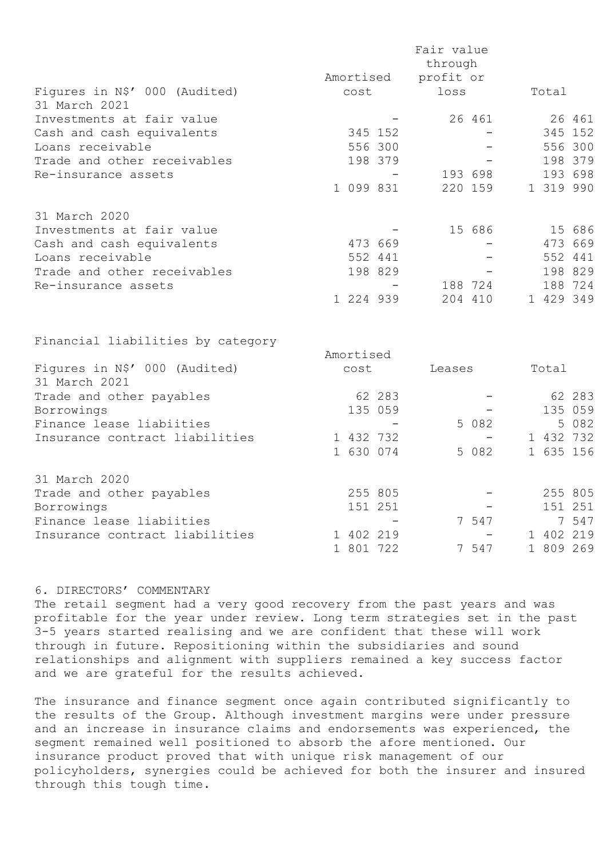|                                                |           | Fair value<br>through |         |           |         |
|------------------------------------------------|-----------|-----------------------|---------|-----------|---------|
|                                                | Amortised | profit or             |         |           |         |
| Figures in N\$' 000 (Audited)<br>31 March 2021 | cost      | loss                  |         | Total     |         |
| Investments at fair value                      |           |                       | 26 461  |           | 26 461  |
| Cash and cash equivalents                      | 345 152   |                       |         |           | 345 152 |
| Loans receivable                               | 556 300   |                       |         |           | 556 300 |
| Trade and other receivables                    | 198 379   |                       |         |           | 198 379 |
| Re-insurance assets                            |           |                       | 193 698 |           | 193 698 |
|                                                | 1 099 831 |                       | 220 159 | 1 319 990 |         |
| 31 March 2020                                  |           |                       |         |           |         |
| Investments at fair value                      |           |                       | 15 686  |           | 15 686  |
| Cash and cash equivalents                      | 473 669   |                       |         |           | 473 669 |
| Loans receivable                               | 552 441   |                       |         |           | 552 441 |
| Trade and other receivables                    | 198 829   |                       |         |           | 198 829 |
| Re-insurance assets                            |           |                       | 188 724 |           | 188 724 |
|                                                | 1 224 939 |                       | 204 410 | 1 429 349 |         |
| Financial liabilities by category              |           |                       |         |           |         |
|                                                | Amortised |                       |         |           |         |
| Figures in N\$' 000 (Audited)<br>31 March 2021 | cost      | Leases                |         | Total     |         |
| Trade and other payables                       | 62 283    |                       |         |           | 62 283  |
| Borrowings                                     | 135 059   |                       |         |           | 135 059 |
| Finance lease liabiities                       |           |                       | 5 0 8 2 | 5         | 082     |
| Insurance contract liabilities                 | 1 432 732 |                       |         | 1 432 732 |         |
|                                                | 1 630 074 |                       | 5 082   | 1 635 156 |         |

| 31 March 2020                  |           |                          |           |
|--------------------------------|-----------|--------------------------|-----------|
| Trade and other payables       | 255 805   | $\sim$                   | 255 805   |
| Borrowings                     | 151 251   | $\overline{\phantom{a}}$ | 151 251   |
| Finance lease liabiities       |           | 7547                     | 7547      |
| Insurance contract liabilities | 1 402 219 | $\sim$                   | 1 402 219 |
|                                | 1 801 722 | 7547                     | 1 809 269 |

## 6. DIRECTORS' COMMENTARY

The retail segment had a very good recovery from the past years and was profitable for the year under review. Long term strategies set in the past 3-5 years started realising and we are confident that these will work through in future. Repositioning within the subsidiaries and sound relationships and alignment with suppliers remained a key success factor and we are grateful for the results achieved.

The insurance and finance segment once again contributed significantly to the results of the Group. Although investment margins were under pressure and an increase in insurance claims and endorsements was experienced, the segment remained well positioned to absorb the afore mentioned. Our insurance product proved that with unique risk management of our policyholders, synergies could be achieved for both the insurer and insured through this tough time.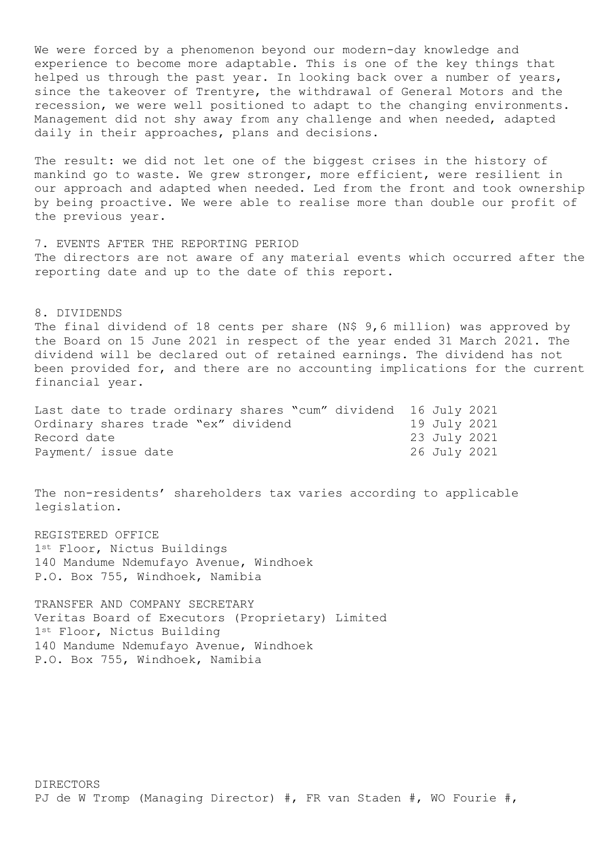We were forced by a phenomenon beyond our modern-day knowledge and experience to become more adaptable. This is one of the key things that helped us through the past year. In looking back over a number of years, since the takeover of Trentyre, the withdrawal of General Motors and the recession, we were well positioned to adapt to the changing environments. Management did not shy away from any challenge and when needed, adapted daily in their approaches, plans and decisions.

The result: we did not let one of the biggest crises in the history of mankind go to waste. We grew stronger, more efficient, were resilient in our approach and adapted when needed. Led from the front and took ownership by being proactive. We were able to realise more than double our profit of the previous year.

7. EVENTS AFTER THE REPORTING PERIOD The directors are not aware of any material events which occurred after the reporting date and up to the date of this report.

## 8. DIVIDENDS

The final dividend of 18 cents per share (N\$ 9,6 million) was approved by the Board on 15 June 2021 in respect of the year ended 31 March 2021. The dividend will be declared out of retained earnings. The dividend has not been provided for, and there are no accounting implications for the current financial year.

| Last date to trade ordinary shares "cum" dividend 16 July 2021 |              |  |
|----------------------------------------------------------------|--------------|--|
| Ordinary shares trade "ex" dividend                            | 19 July 2021 |  |
| Record date                                                    | 23 July 2021 |  |
| Payment/ issue date                                            | 26 July 2021 |  |

The non-residents' shareholders tax varies according to applicable legislation.

REGISTERED OFFICE 1st Floor, Nictus Buildings 140 Mandume Ndemufayo Avenue, Windhoek P.O. Box 755, Windhoek, Namibia

TRANSFER AND COMPANY SECRETARY Veritas Board of Executors (Proprietary) Limited 1st Floor, Nictus Building 140 Mandume Ndemufayo Avenue, Windhoek P.O. Box 755, Windhoek, Namibia